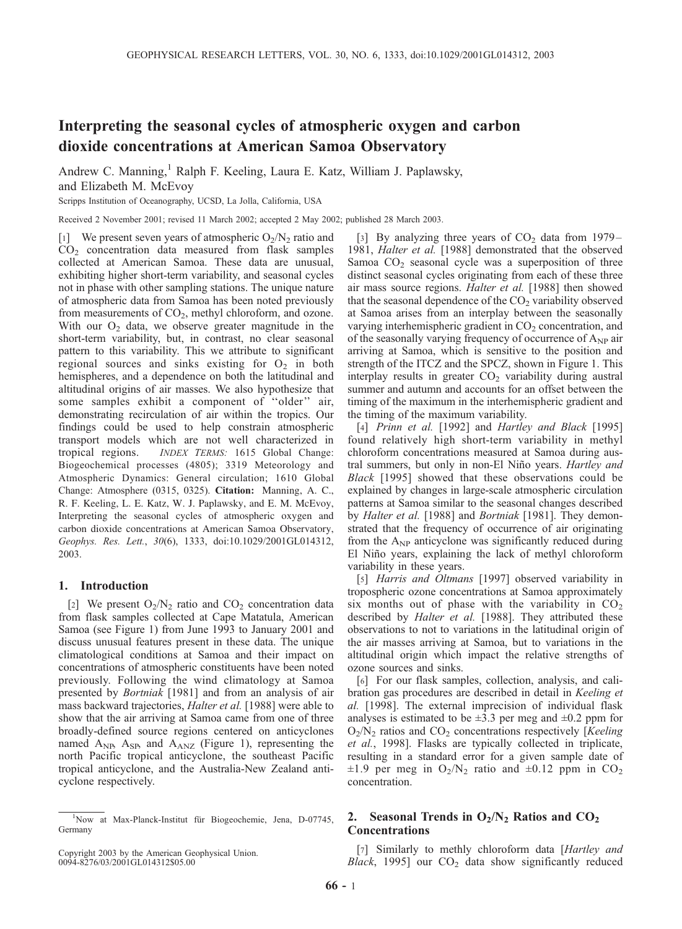# Interpreting the seasonal cycles of atmospheric oxygen and carbon dioxide concentrations at American Samoa Observatory

Andrew C. Manning,<sup>1</sup> Ralph F. Keeling, Laura E. Katz, William J. Paplawsky, and Elizabeth M. McEvoy

Scripps Institution of Oceanography, UCSD, La Jolla, California, USA

Received 2 November 2001; revised 11 March 2002; accepted 2 May 2002; published 28 March 2003.

[1] We present seven years of atmospheric  $O_2/N_2$  ratio and  $CO<sub>2</sub>$  concentration data measured from flask samples collected at American Samoa. These data are unusual, exhibiting higher short-term variability, and seasonal cycles not in phase with other sampling stations. The unique nature of atmospheric data from Samoa has been noted previously from measurements of  $CO<sub>2</sub>$ , methyl chloroform, and ozone. With our  $O_2$  data, we observe greater magnitude in the short-term variability, but, in contrast, no clear seasonal pattern to this variability. This we attribute to significant regional sources and sinks existing for  $O_2$  in both hemispheres, and a dependence on both the latitudinal and altitudinal origins of air masses. We also hypothesize that some samples exhibit a component of ''older'' air, demonstrating recirculation of air within the tropics. Our findings could be used to help constrain atmospheric transport models which are not well characterized in tropical regions. INDEX TERMS: 1615 Global Change: Biogeochemical processes (4805); 3319 Meteorology and Atmospheric Dynamics: General circulation; 1610 Global Change: Atmosphere (0315, 0325). Citation: Manning, A. C., R. F. Keeling, L. E. Katz, W. J. Paplawsky, and E. M. McEvoy, Interpreting the seasonal cycles of atmospheric oxygen and carbon dioxide concentrations at American Samoa Observatory, Geophys. Res. Lett., 30(6), 1333, doi:10.1029/2001GL014312, 2003.

#### 1. Introduction

[2] We present  $O_2/N_2$  ratio and  $CO_2$  concentration data from flask samples collected at Cape Matatula, American Samoa (see Figure 1) from June 1993 to January 2001 and discuss unusual features present in these data. The unique climatological conditions at Samoa and their impact on concentrations of atmospheric constituents have been noted previously. Following the wind climatology at Samoa presented by Bortniak [1981] and from an analysis of air mass backward trajectories, *Halter et al.* [1988] were able to show that the air arriving at Samoa came from one of three broadly-defined source regions centered on anticyclones named  $A_{NP}$ ,  $A_{SP}$ , and  $A_{ANZ}$  (Figure 1), representing the north Pacific tropical anticyclone, the southeast Pacific tropical anticyclone, and the Australia-New Zealand anticyclone respectively.

[3] By analyzing three years of  $CO<sub>2</sub>$  data from 1979– 1981, Halter et al. [1988] demonstrated that the observed Samoa  $CO<sub>2</sub>$  seasonal cycle was a superposition of three distinct seasonal cycles originating from each of these three air mass source regions. Halter et al. [1988] then showed that the seasonal dependence of the  $CO<sub>2</sub>$  variability observed at Samoa arises from an interplay between the seasonally varying interhemispheric gradient in  $CO<sub>2</sub>$  concentration, and of the seasonally varying frequency of occurrence of A<sub>NP</sub> air arriving at Samoa, which is sensitive to the position and strength of the ITCZ and the SPCZ, shown in Figure 1. This interplay results in greater  $CO<sub>2</sub>$  variability during austral summer and autumn and accounts for an offset between the timing of the maximum in the interhemispheric gradient and the timing of the maximum variability.

[4] Prinn et al. [1992] and Hartley and Black [1995] found relatively high short-term variability in methyl chloroform concentrations measured at Samoa during austral summers, but only in non-El Niño years. Hartley and Black [1995] showed that these observations could be explained by changes in large-scale atmospheric circulation patterns at Samoa similar to the seasonal changes described by Halter et al. [1988] and Bortniak [1981]. They demonstrated that the frequency of occurrence of air originating from the  $A_{NP}$  anticyclone was significantly reduced during El Niño years, explaining the lack of methyl chloroform variability in these years.

[5] Harris and Oltmans [1997] observed variability in tropospheric ozone concentrations at Samoa approximately six months out of phase with the variability in  $CO<sub>2</sub>$ described by *Halter et al.* [1988]. They attributed these observations to not to variations in the latitudinal origin of the air masses arriving at Samoa, but to variations in the altitudinal origin which impact the relative strengths of ozone sources and sinks.

[6] For our flask samples, collection, analysis, and calibration gas procedures are described in detail in Keeling et al. [1998]. The external imprecision of individual flask analyses is estimated to be  $\pm 3.3$  per meg and  $\pm 0.2$  ppm for  $O_2/N_2$  ratios and  $CO_2$  concentrations respectively [Keeling] et al., 1998]. Flasks are typically collected in triplicate, resulting in a standard error for a given sample date of  $\pm 1.9$  per meg in  $O_2/N_2$  ratio and  $\pm 0.12$  ppm in CO<sub>2</sub> concentration.

## 2. Seasonal Trends in  $O_2/N_2$  Ratios and  $CO_2$ Concentrations

[7] Similarly to methly chloroform data [Hartley and Black, 1995] our  $CO<sub>2</sub>$  data show significantly reduced

<sup>&</sup>lt;sup>1</sup>Now at Max-Planck-Institut für Biogeochemie, Jena, D-07745, Germany

Copyright 2003 by the American Geophysical Union. 0094-8276/03/2001GL014312\$05.00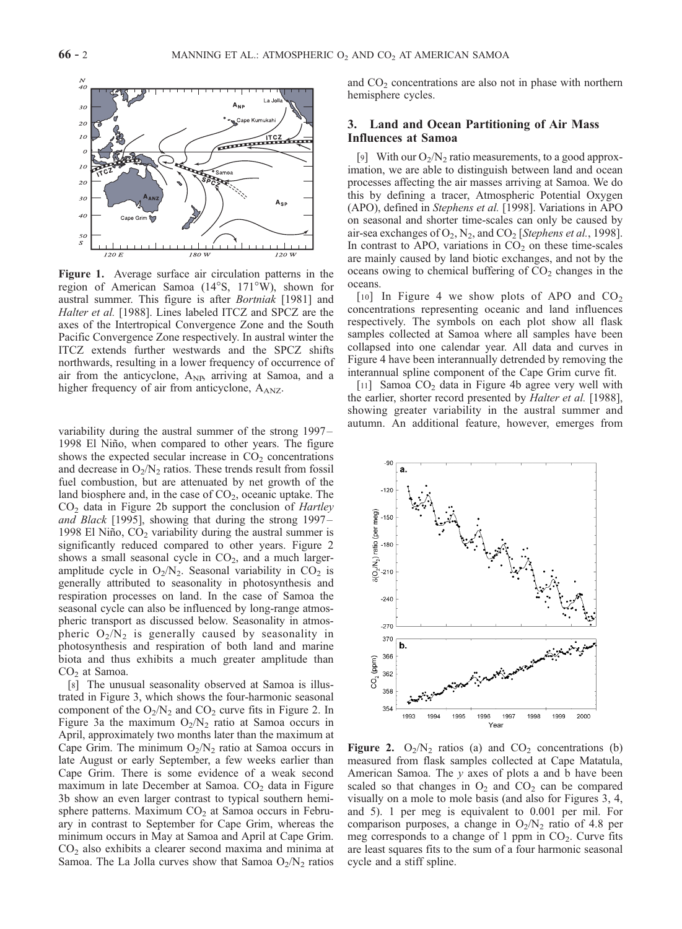

Figure 1. Average surface air circulation patterns in the region of American Samoa  $(14^{\circ}S, 171^{\circ}W)$ , shown for austral summer. This figure is after Bortniak [1981] and Halter et al. [1988]. Lines labeled ITCZ and SPCZ are the axes of the Intertropical Convergence Zone and the South Pacific Convergence Zone respectively. In austral winter the ITCZ extends further westwards and the SPCZ shifts northwards, resulting in a lower frequency of occurrence of air from the anticyclone,  $A_{NP}$ , arriving at Samoa, and a higher frequency of air from anticyclone,  $A<sub>ANZ</sub>$ .

variability during the austral summer of the strong 1997 – 1998 El Niño, when compared to other years. The figure shows the expected secular increase in  $CO<sub>2</sub>$  concentrations and decrease in  $O_2/N_2$  ratios. These trends result from fossil fuel combustion, but are attenuated by net growth of the land biosphere and, in the case of  $CO<sub>2</sub>$ , oceanic uptake. The  $CO<sub>2</sub>$  data in Figure 2b support the conclusion of *Hartley* and Black [1995], showing that during the strong 1997– 1998 El Niño,  $CO<sub>2</sub>$  variability during the austral summer is significantly reduced compared to other years. Figure 2 shows a small seasonal cycle in  $CO<sub>2</sub>$ , and a much largeramplitude cycle in  $O_2/N_2$ . Seasonal variability in  $CO_2$  is generally attributed to seasonality in photosynthesis and respiration processes on land. In the case of Samoa the seasonal cycle can also be influenced by long-range atmospheric transport as discussed below. Seasonality in atmospheric  $O_2/N_2$  is generally caused by seasonality in photosynthesis and respiration of both land and marine biota and thus exhibits a much greater amplitude than CO<sub>2</sub> at Samoa.

[8] The unusual seasonality observed at Samoa is illustrated in Figure 3, which shows the four-harmonic seasonal component of the  $O_2/N_2$  and  $CO_2$  curve fits in Figure 2. In Figure 3a the maximum  $O_2/N_2$  ratio at Samoa occurs in April, approximately two months later than the maximum at Cape Grim. The minimum  $O_2/N_2$  ratio at Samoa occurs in late August or early September, a few weeks earlier than Cape Grim. There is some evidence of a weak second maximum in late December at Samoa.  $CO<sub>2</sub>$  data in Figure 3b show an even larger contrast to typical southern hemisphere patterns. Maximum  $CO<sub>2</sub>$  at Samoa occurs in February in contrast to September for Cape Grim, whereas the minimum occurs in May at Samoa and April at Cape Grim.  $CO<sub>2</sub>$  also exhibits a clearer second maxima and minima at Samoa. The La Jolla curves show that Samoa  $O_2/N_2$  ratios and  $CO<sub>2</sub>$  concentrations are also not in phase with northern hemisphere cycles.

## 3. Land and Ocean Partitioning of Air Mass Influences at Samoa

[9] With our  $O_2/N_2$  ratio measurements, to a good approximation, we are able to distinguish between land and ocean processes affecting the air masses arriving at Samoa. We do this by defining a tracer, Atmospheric Potential Oxygen (APO), defined in Stephens et al. [1998]. Variations in APO on seasonal and shorter time-scales can only be caused by air-sea exchanges of  $O_2$ ,  $N_2$ , and  $CO_2$  [Stephens et al., 1998]. In contrast to APO, variations in  $CO<sub>2</sub>$  on these time-scales are mainly caused by land biotic exchanges, and not by the oceans owing to chemical buffering of  $CO<sub>2</sub>$  changes in the oceans.

[10] In Figure 4 we show plots of APO and  $CO<sub>2</sub>$ concentrations representing oceanic and land influences respectively. The symbols on each plot show all flask samples collected at Samoa where all samples have been collapsed into one calendar year. All data and curves in Figure 4 have been interannually detrended by removing the interannual spline component of the Cape Grim curve fit.

[11] Samoa  $CO<sub>2</sub>$  data in Figure 4b agree very well with the earlier, shorter record presented by *Halter et al.* [1988], showing greater variability in the austral summer and autumn. An additional feature, however, emerges from



Figure 2.  $O_2/N_2$  ratios (a) and  $CO_2$  concentrations (b) measured from flask samples collected at Cape Matatula, American Samoa. The y axes of plots a and b have been scaled so that changes in  $O_2$  and  $CO_2$  can be compared visually on a mole to mole basis (and also for Figures 3, 4, and 5). 1 per meg is equivalent to 0.001 per mil. For comparison purposes, a change in  $O_2/N_2$  ratio of 4.8 per meg corresponds to a change of 1 ppm in  $CO<sub>2</sub>$ . Curve fits are least squares fits to the sum of a four harmonic seasonal cycle and a stiff spline.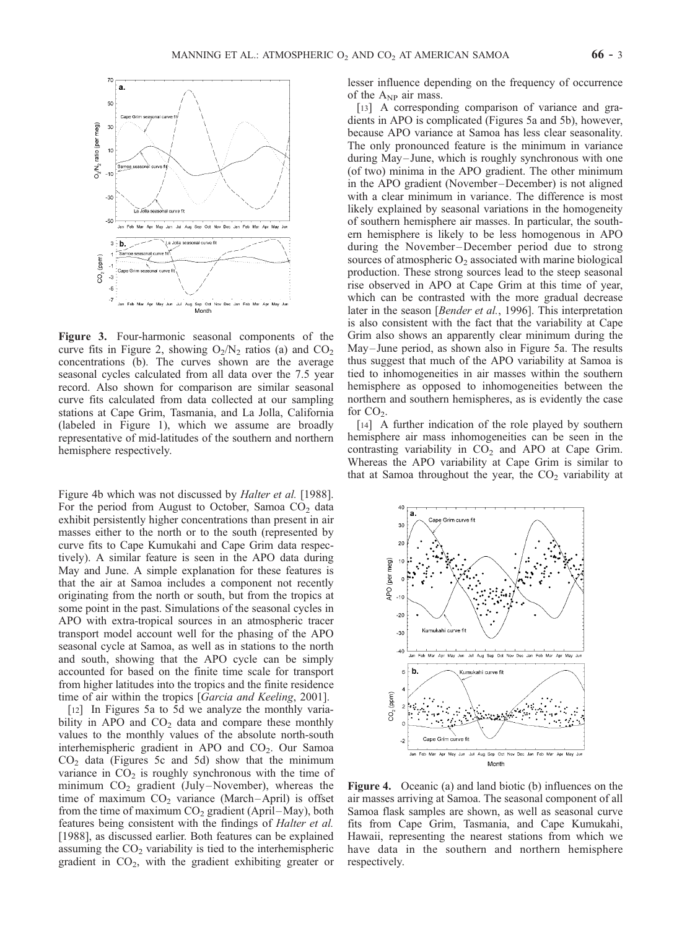

Figure 3. Four-harmonic seasonal components of the curve fits in Figure 2, showing  $O_2/N_2$  ratios (a) and  $CO_2$ concentrations (b). The curves shown are the average seasonal cycles calculated from all data over the 7.5 year record. Also shown for comparison are similar seasonal curve fits calculated from data collected at our sampling stations at Cape Grim, Tasmania, and La Jolla, California (labeled in Figure 1), which we assume are broadly representative of mid-latitudes of the southern and northern hemisphere respectively.

Figure 4b which was not discussed by *Halter et al.* [1988]. For the period from August to October, Samoa  $CO<sub>2</sub>$  data exhibit persistently higher concentrations than present in air masses either to the north or to the south (represented by curve fits to Cape Kumukahi and Cape Grim data respectively). A similar feature is seen in the APO data during May and June. A simple explanation for these features is that the air at Samoa includes a component not recently originating from the north or south, but from the tropics at some point in the past. Simulations of the seasonal cycles in APO with extra-tropical sources in an atmospheric tracer transport model account well for the phasing of the APO seasonal cycle at Samoa, as well as in stations to the north and south, showing that the APO cycle can be simply accounted for based on the finite time scale for transport from higher latitudes into the tropics and the finite residence time of air within the tropics [Garcia and Keeling, 2001].

[12] In Figures 5a to 5d we analyze the monthly variability in APO and  $CO<sub>2</sub>$  data and compare these monthly values to the monthly values of the absolute north-south interhemispheric gradient in APO and CO<sub>2</sub>. Our Samoa  $CO<sub>2</sub>$  data (Figures 5c and 5d) show that the minimum variance in  $CO<sub>2</sub>$  is roughly synchronous with the time of minimum  $CO<sub>2</sub>$  gradient (July–November), whereas the time of maximum  $CO<sub>2</sub>$  variance (March-April) is offset from the time of maximum  $CO<sub>2</sub>$  gradient (April–May), both features being consistent with the findings of Halter et al. [1988], as discussed earlier. Both features can be explained assuming the  $CO<sub>2</sub>$  variability is tied to the interhemispheric gradient in CO2, with the gradient exhibiting greater or

lesser influence depending on the frequency of occurrence of the  $A_{NP}$  air mass.

[13] A corresponding comparison of variance and gradients in APO is complicated (Figures 5a and 5b), however, because APO variance at Samoa has less clear seasonality. The only pronounced feature is the minimum in variance during May-June, which is roughly synchronous with one (of two) minima in the APO gradient. The other minimum in the APO gradient (November–December) is not aligned with a clear minimum in variance. The difference is most likely explained by seasonal variations in the homogeneity of southern hemisphere air masses. In particular, the southern hemisphere is likely to be less homogenous in APO during the November –December period due to strong sources of atmospheric  $O_2$  associated with marine biological production. These strong sources lead to the steep seasonal rise observed in APO at Cape Grim at this time of year, which can be contrasted with the more gradual decrease later in the season [Bender et al., 1996]. This interpretation is also consistent with the fact that the variability at Cape Grim also shows an apparently clear minimum during the May– June period, as shown also in Figure 5a. The results thus suggest that much of the APO variability at Samoa is tied to inhomogeneities in air masses within the southern hemisphere as opposed to inhomogeneities between the northern and southern hemispheres, as is evidently the case for  $CO<sub>2</sub>$ .

[14] A further indication of the role played by southern hemisphere air mass inhomogeneities can be seen in the contrasting variability in  $CO<sub>2</sub>$  and APO at Cape Grim. Whereas the APO variability at Cape Grim is similar to that at Samoa throughout the year, the  $CO<sub>2</sub>$  variability at



Figure 4. Oceanic (a) and land biotic (b) influences on the air masses arriving at Samoa. The seasonal component of all Samoa flask samples are shown, as well as seasonal curve fits from Cape Grim, Tasmania, and Cape Kumukahi, Hawaii, representing the nearest stations from which we have data in the southern and northern hemisphere respectively.